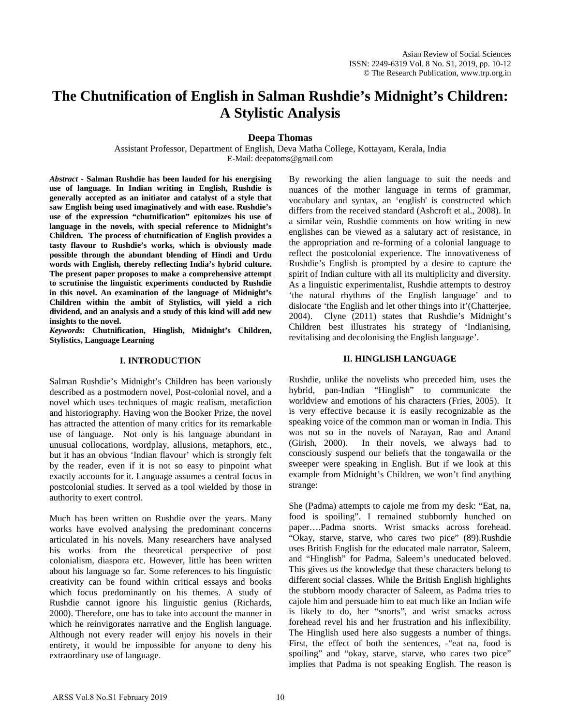# **The Chutnification of English in Salman Rushdie's Midnight's Children: A Stylistic Analysis**

**Deepa Thomas** 

Assistant Professor, Department of English, Deva Matha College, Kottayam, Kerala, India E-Mail: deepatoms@gmail.com

*Abstract* **- Salman Rushdie has been lauded for his energising use of language. In Indian writing in English, Rushdie is generally accepted as an initiator and catalyst of a style that saw English being used imaginatively and with ease. Rushdie's use of the expression "chutnification" epitomizes his use of language in the novels, with special reference to Midnight's Children. The process of chutnification of English provides a tasty flavour to Rushdie's works, which is obviously made possible through the abundant blending of Hindi and Urdu words with English, thereby reflecting India's hybrid culture. The present paper proposes to make a comprehensive attempt to scrutinise the linguistic experiments conducted by Rushdie in this novel. An examination of the language of Midnight's Children within the ambit of Stylistics, will yield a rich dividend, and an analysis and a study of this kind will add new insights to the novel.** 

*Keywords***: Chutnification, Hinglish, Midnight's Children, Stylistics, Language Learning**

#### **I. INTRODUCTION**

Salman Rushdie's Midnight's Children has been variously described as a postmodern novel, Post-colonial novel, and a novel which uses techniques of magic realism, metafiction and historiography. Having won the Booker Prize, the novel has attracted the attention of many critics for its remarkable use of language. Not only is his language abundant in unusual collocations, wordplay, allusions, metaphors, etc., but it has an obvious 'Indian flavour' which is strongly felt by the reader, even if it is not so easy to pinpoint what exactly accounts for it. Language assumes a central focus in postcolonial studies. It served as a tool wielded by those in authority to exert control.

Much has been written on Rushdie over the years. Many works have evolved analysing the predominant concerns articulated in his novels. Many researchers have analysed his works from the theoretical perspective of post colonialism, diaspora etc. However, little has been written about his language so far. Some references to his linguistic creativity can be found within critical essays and books which focus predominantly on his themes. A study of Rushdie cannot ignore his linguistic genius (Richards, 2000). Therefore, one has to take into account the manner in which he reinvigorates narrative and the English language. Although not every reader will enjoy his novels in their entirety, it would be impossible for anyone to deny his extraordinary use of language.

By reworking the alien language to suit the needs and nuances of the mother language in terms of grammar, vocabulary and syntax, an 'english' is constructed which differs from the received standard (Ashcroft et al., 2008). In a similar vein, Rushdie comments on how writing in new englishes can be viewed as a salutary act of resistance, in the appropriation and re-forming of a colonial language to reflect the postcolonial experience. The innovativeness of Rushdie's English is prompted by a desire to capture the spirit of Indian culture with all its multiplicity and diversity. As a linguistic experimentalist, Rushdie attempts to destroy 'the natural rhythms of the English language' and to dislocate 'the English and let other things into it'(Chatterjee, 2004). Clyne (2011) states that Rushdie's Midnight's Children best illustrates his strategy of 'Indianising, revitalising and decolonising the English language'.

### **II. HINGLISH LANGUAGE**

Rushdie, unlike the novelists who preceded him, uses the hybrid, pan-Indian "Hinglish" to communicate the worldview and emotions of his characters (Fries, 2005). It is very effective because it is easily recognizable as the speaking voice of the common man or woman in India. This was not so in the novels of Narayan, Rao and Anand (Girish, 2000). In their novels, we always had to consciously suspend our beliefs that the tongawalla or the sweeper were speaking in English. But if we look at this example from Midnight's Children, we won't find anything strange:

She (Padma) attempts to cajole me from my desk: "Eat, na, food is spoiling". I remained stubbornly hunched on paper….Padma snorts. Wrist smacks across forehead. "Okay, starve, starve, who cares two pice" (89).Rushdie uses British English for the educated male narrator, Saleem, and "Hinglish" for Padma, Saleem's uneducated beloved. This gives us the knowledge that these characters belong to different social classes. While the British English highlights the stubborn moody character of Saleem, as Padma tries to cajole him and persuade him to eat much like an Indian wife is likely to do, her "snorts", and wrist smacks across forehead revel his and her frustration and his inflexibility. The Hinglish used here also suggests a number of things. First, the effect of both the sentences, -"eat na, food is spoiling" and "okay, starve, starve, who cares two pice" implies that Padma is not speaking English. The reason is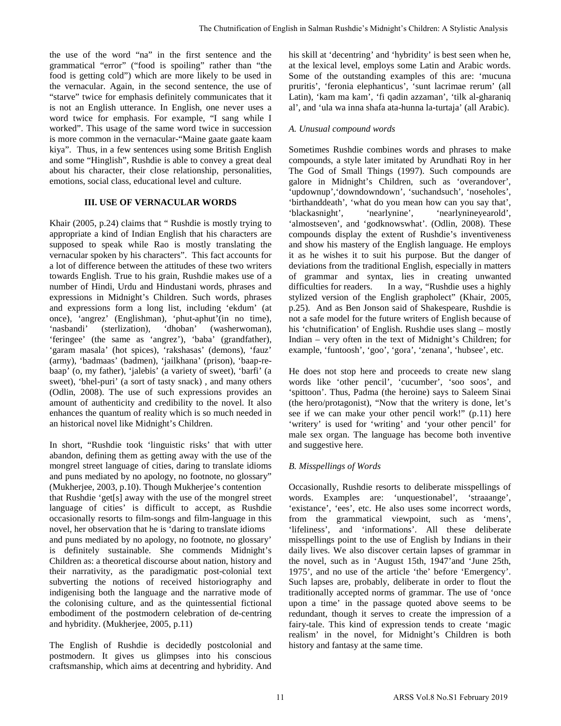the use of the word "na" in the first sentence and the grammatical "error" ("food is spoiling" rather than "the food is getting cold") which are more likely to be used in the vernacular. Again, in the second sentence, the use of "starve" twice for emphasis definitely communicates that it is not an English utterance. In English, one never uses a word twice for emphasis. For example, "I sang while I worked". This usage of the same word twice in succession is more common in the vernacular-"Maine gaate gaate kaam kiya". Thus, in a few sentences using some British English and some "Hinglish", Rushdie is able to convey a great deal about his character, their close relationship, personalities, emotions, social class, educational level and culture.

## **III. USE OF VERNACULAR WORDS**

Khair (2005, p.24) claims that " Rushdie is mostly trying to appropriate a kind of Indian English that his characters are supposed to speak while Rao is mostly translating the vernacular spoken by his characters". This fact accounts for a lot of difference between the attitudes of these two writers towards English. True to his grain, Rushdie makes use of a number of Hindi, Urdu and Hindustani words, phrases and expressions in Midnight's Children. Such words, phrases and expressions form a long list, including 'ekdum' (at once), 'angrez' (Englishman), 'phut-aphut'(in no time), 'nasbandi' (sterlization), 'dhoban' (washerwoman), 'nasbandi' (sterlization), 'dhoban' (washerwoman), 'feringee' (the same as 'angrez'), 'baba' (grandfather), 'garam masala' (hot spices), 'rakshasas' (demons), 'fauz' (army), 'badmaas' (badmen), 'jailkhana' (prison), 'baap-rebaap' (o, my father), 'jalebis' (a variety of sweet), 'barfi' (a sweet), 'bhel-puri' (a sort of tasty snack) , and many others (Odlin, 2008). The use of such expressions provides an amount of authenticity and credibility to the novel. It also enhances the quantum of reality which is so much needed in an historical novel like Midnight's Children.

In short, "Rushdie took 'linguistic risks' that with utter abandon, defining them as getting away with the use of the mongrel street language of cities, daring to translate idioms and puns mediated by no apology, no footnote, no glossary" (Mukherjee, 2003, p.10). Though Mukherjee's contention that Rushdie 'get[s] away with the use of the mongrel street language of cities' is difficult to accept, as Rushdie occasionally resorts to film-songs and film-language in this novel, her observation that he is 'daring to translate idioms and puns mediated by no apology, no footnote, no glossary' is definitely sustainable. She commends Midnight's Children as: a theoretical discourse about nation, history and their narrativity, as the paradigmatic post-colonial text subverting the notions of received historiography and indigenising both the language and the narrative mode of the colonising culture, and as the quintessential fictional embodiment of the postmodern celebration of de-centring and hybridity. (Mukherjee, 2005, p.11)

The English of Rushdie is decidedly postcolonial and postmodern. It gives us glimpses into his conscious craftsmanship, which aims at decentring and hybridity. And his skill at 'decentring' and 'hybridity' is best seen when he, at the lexical level, employs some Latin and Arabic words. Some of the outstanding examples of this are: 'mucuna pruritis', 'feronia elephanticus', 'sunt lacrimae rerum' (all Latin), 'kam ma kam', 'fi qadin azzaman', 'tilk al-gharaniq al', and 'ula wa inna shafa ata-hunna la-turtaja' (all Arabic).

## *A. Unusual compound words*

Sometimes Rushdie combines words and phrases to make compounds, a style later imitated by Arundhati Roy in her The God of Small Things (1997). Such compounds are galore in Midnight's Children, such as 'overandover', 'updownup','downdowndown', 'suchandsuch', 'noseholes', 'birthanddeath', 'what do you mean how can you say that', 'nearlynine', 'nearlynineyearold', 'almostseven', and 'godknowswhat'. (Odlin, 2008). These compounds display the extent of Rushdie's inventiveness and show his mastery of the English language. He employs it as he wishes it to suit his purpose. But the danger of deviations from the traditional English, especially in matters of grammar and syntax, lies in creating unwanted difficulties for readers. In a way, "Rushdie uses a highly stylized version of the English grapholect" (Khair, 2005, p.25). And as Ben Jonson said of Shakespeare, Rushdie is not a safe model for the future writers of English because of his 'chutnification' of English. Rushdie uses slang – mostly Indian – very often in the text of Midnight's Children; for example, 'funtoosh', 'goo', 'gora', 'zenana', 'hubsee', etc. The Chumification of Fragish in Salmar Rushdie's Midnight's Children: A Stylistic Analysis<br>
11 Salmar Chuthi at the location of the continuous continuous continuous continuous continuous continuous continuous continuous c

He does not stop here and proceeds to create new slang words like 'other pencil', 'cucumber', 'soo soos', and 'spittoon'. Thus, Padma (the heroine) says to Saleem Sinai (the hero/protagonist), "Now that the writery is done, let's see if we can make your other pencil work!" (p.11) here 'writery' is used for 'writing' and 'your other pencil' for male sex organ. The language has become both inventive and suggestive here.

# *B. Misspellings of Words*

Occasionally, Rushdie resorts to deliberate misspellings of words. Examples are: 'unquestionabel', 'straaange', 'existance', 'ees', etc. He also uses some incorrect words, from the grammatical viewpoint, such as 'mens', 'lifeliness', and 'informations'. All these deliberate misspellings point to the use of English by Indians in their daily lives. We also discover certain lapses of grammar in the novel, such as in 'August 15th, 1947'and 'June 25th, 1975', and no use of the article 'the' before 'Emergency'. Such lapses are, probably, deliberate in order to flout the traditionally accepted norms of grammar. The use of 'once upon a time' in the passage quoted above seems to be redundant, though it serves to create the impression of a fairy-tale. This kind of expression tends to create 'magic realism' in the novel, for Midnight's Children is both history and fantasy at the same time.